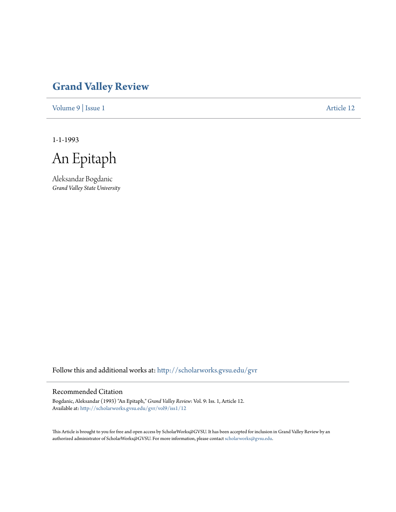## **[Grand Valley Review](http://scholarworks.gvsu.edu/gvr?utm_source=scholarworks.gvsu.edu%2Fgvr%2Fvol9%2Fiss1%2F12&utm_medium=PDF&utm_campaign=PDFCoverPages)**

[Volume 9](http://scholarworks.gvsu.edu/gvr/vol9?utm_source=scholarworks.gvsu.edu%2Fgvr%2Fvol9%2Fiss1%2F12&utm_medium=PDF&utm_campaign=PDFCoverPages) | [Issue 1](http://scholarworks.gvsu.edu/gvr/vol9/iss1?utm_source=scholarworks.gvsu.edu%2Fgvr%2Fvol9%2Fiss1%2F12&utm_medium=PDF&utm_campaign=PDFCoverPages) [Article 12](http://scholarworks.gvsu.edu/gvr/vol9/iss1/12?utm_source=scholarworks.gvsu.edu%2Fgvr%2Fvol9%2Fiss1%2F12&utm_medium=PDF&utm_campaign=PDFCoverPages)

1-1-1993

An Epitaph

Aleksandar Bogdanic *Grand Valley State University*

Follow this and additional works at: [http://scholarworks.gvsu.edu/gvr](http://scholarworks.gvsu.edu/gvr?utm_source=scholarworks.gvsu.edu%2Fgvr%2Fvol9%2Fiss1%2F12&utm_medium=PDF&utm_campaign=PDFCoverPages)

## Recommended Citation

Bogdanic, Aleksandar (1993) "An Epitaph," *Grand Valley Review*: Vol. 9: Iss. 1, Article 12. Available at: [http://scholarworks.gvsu.edu/gvr/vol9/iss1/12](http://scholarworks.gvsu.edu/gvr/vol9/iss1/12?utm_source=scholarworks.gvsu.edu%2Fgvr%2Fvol9%2Fiss1%2F12&utm_medium=PDF&utm_campaign=PDFCoverPages)

This Article is brought to you for free and open access by ScholarWorks@GVSU. It has been accepted for inclusion in Grand Valley Review by an authorized administrator of ScholarWorks@GVSU. For more information, please contact [scholarworks@gvsu.edu.](mailto:scholarworks@gvsu.edu)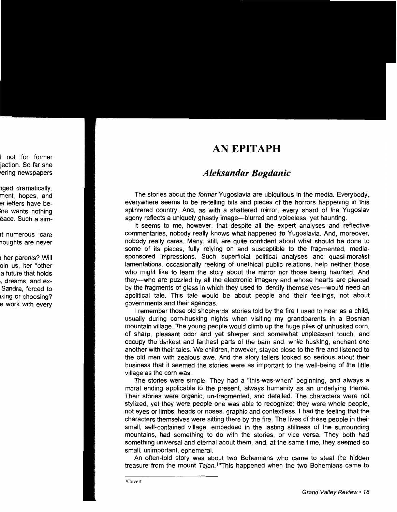## **AN EPITAPH**

## *Aleksandar Bogdanic*

The stories about the former Yugoslavia are ubiquitous in the media. Everybody, everywhere seems to be re-telling bits and pieces of the horrors happening in this splintered country. And, as with a shattered mirror, every shard of the Yugoslav agony reflects a uniquely ghastly image-blurred and voiceless, yet haunting.

It seems to me, however, that despite all the expert analyses and reflective commentaries, nobody really knows what happened *to* Yugoslavia. And, moreover, nobody really cares. Many, still, are quite confident about what should be done to some of its pieces, fully relying on and susceptible to the fragmented, mediasponsored impressions. Such superficial political analyses and quasi-moralist lamentations, occasionally reeking of unethical public relations, help neither those who might like to learn the story about the mirror nor those being haunted. And they-who are puzzled by all the electronic imagery and whose hearts are pierced by the fragments of glass in which they used to identify themselves—would need an apolitical tale. This tale would be about people and their feelings, not about governments and their agendas.

I remember those old shepherds' stories told by the fire I used to hear as a child, usually during corn-husking nights when visiting my grandparents in a Bosnian mountain village. The young people would climb up the huge piles of unhusked corn, of sharp, pleasant odor and yet sharper and somewhat unpleasant touch, and occupy the darkest and farthest parts of the barn and, while husking, enchant one another with their tales. We children, however, stayed close to the fire and listened to the old men with zealous awe. And the story-tellers looked so serious about their business that it seemed the stories were as important to the well-being of the little village as the corn was.

The stories were simple. They had a "this-was-when" beginning, and always a moral ending applicable to the present, always humanity as an underlying theme. Their stories were organic, un-fragmented, and detailed. The characters were not stylized, yet they were people one was able to recognize: they were whole people, not eyes or limbs, heads or noses, graphic and contextless. I had the feeling that the characters themselves were sitting there by the fire. The lives of these people in their small, self-contained village, embedded in the lasting stillness of the surrounding mountains, had something to do with the stories, or vice versa. They both had something universal and eternal about them, and, at the same time, they seemed so small, unimportant, ephemeral.

An often-told story was about two Bohemians who came to steal the hidden treasure from the mount Tajan.<sup>1</sup>"This happened when the two Bohemians came to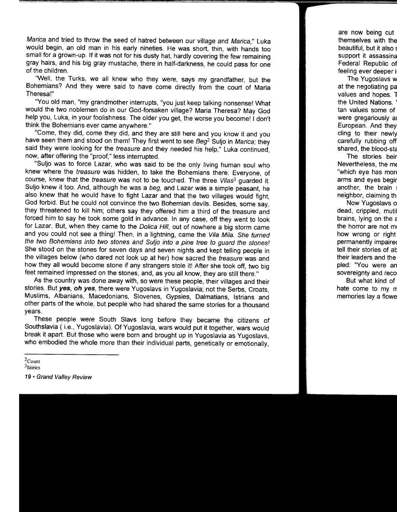Marica and tried to throw the seed of hatred between our village and Marica," Luka would begin, an old man in his early nineties. He was short, thin, with hands too small for a grown-up. If it was not for his dusty hat, hardly covering the few remaining gray hairs, and his big gray mustache, there in half-darkness, he could pass for one of the children.

"Well, the Turks, we all knew who they were, says my grandfather, but the Bohemians? And they were said to have come directly from the court of Maria Theresa!"

"You old man, "my grandmother interrupts, "you just keep talking nonsense! What would the two noblemen do in our God-forsaken village? Maria Theresa? May God help you, Luka, in your foolishness. The older you get, the worse you become! 1 don't think the Bohemians ever came anywhere."

"Come, they did, come they did, and they are still here and you know it and you have seen them and stood on them! They first went to see  $Beq<sup>2</sup>$  Suljo in Marica; they said they were looking for the treasure and they needed his help," Luka continued, now, after offering the "proof," less interrupted.

"Suljo was to force Lazar, who was said to be the only living human soul who knew where the treasure was hidden, to take the Bohemians there. Everyone, of course, knew that the *treasure* was not to be touched. The three Vilas<sup>3</sup> guarded it. Suljo knew it too. And, although he was a beg, and Lazar was a simple peasant, he also knew that he would have to fight Lazar and that the two villages would fight, God forbid. But he could not convince the two Bohemian devils. Besides, some say, they threatened to kill him; others say they offered him a third of the treasure and forced him to say he took some gold in advance. In any case, off they went to look for Lazar. But, when they came to the Dolica Hill, out of nowhere a big storm came and you could not see a thing! Then, in a lightning, came the Vila Mila. She turned the two Bohemians into two stones and Suljo into a pine tree to guard the stones! She stood on the stones for seven days and seven nights and kept telling people in the villages below (who dared not look up at her) how sacred the treasure was and how they all would become stone if any strangers stole it! After she took off, two big feet remained impressed on the stones, and, as you all know, they are still there."

As the country was done away with, so were these people, their villages and their stories. But **yes, oh yes,** there were Yugoslavs in Yugoslavia; not the Serbs, Croats, Muslims, Albanians, Macedonians, Slovenes, Gypsies, Dalmatians, lstrians and other parts of the whole, but people who had shared the same stories for a thousand years.

These people were South Slavs long before they became the citizens of Southslavia (i.e., Yugoslavia). Of Yugoslavia, wars would put it together, wars would break it apart. But those who were born and brought up in Yugoslavia as Yugoslavs, who embodied the whole more than their individual parts, genetically or emotionally,

 $2$ Count

 $3$ fairies